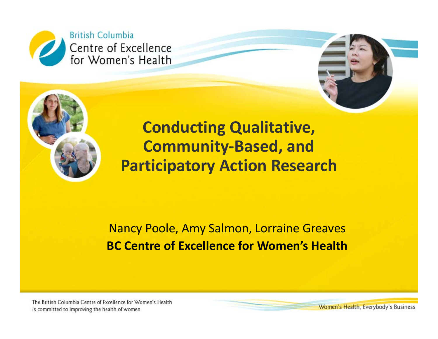



#### alui y Actiuli nese **Conducting Qualitative, Community‐Based, and Participatory Action Research**

Nancy Poole, Amy Salmon, Lorraine Greaves **BC Centre of Excellence for Women's Health**

The British Columbia Centre of Excellence for Women's Health is committed to improving the health of women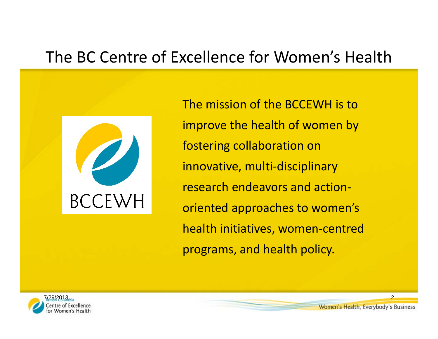### The BC Centre of Excellence for Women's Health



The mission of the BCCEWH is to improve the health of women by fostering collaboration on innovative, multi‐disciplinary research endeavors and action‐ oriented approaches to women's health initiatives, women‐centred programs, and health policy.

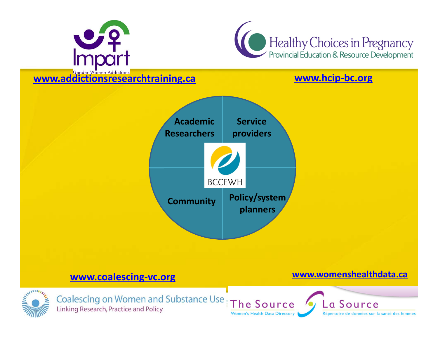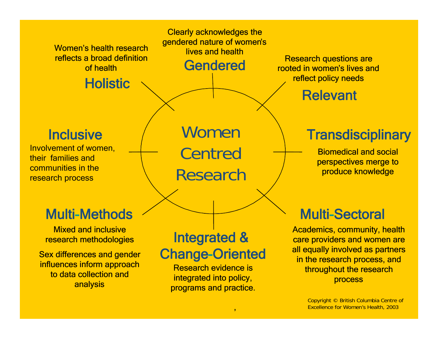

Copyright © British Columbia Centre of Excellence for Women's Health, 2003

'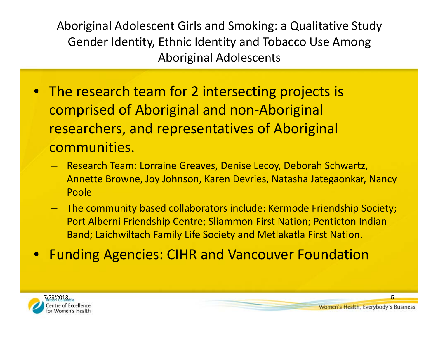Aboriginal Adolescent Girls and Smoking: <sup>a</sup> Qualitative Study Gender Identity, Ethnic Identity and Tobacco Use Among Aboriginal Adolescents

- The research team for 2 intersecting projects is comprised of Aboriginal and non‐Aboriginal researchers, and representatives of Aboriginal communities.
	- Research Team: Lorraine Greaves, Denise Lecoy, Deborah Schwartz, Annette Browne, Joy Johnson, Karen Devries, Natasha Jategaonkar, Nancy Poole
	- The community based collaborators include: Kermode Friendship Society; Port Alberni Friendship Centre; Sliammon First Nation; Penticton Indian Band; Laichwiltach Family Life Society and Metlakatla First Nation.
- $\bullet$ Funding Agencies: CIHR and Vancouver Foundation

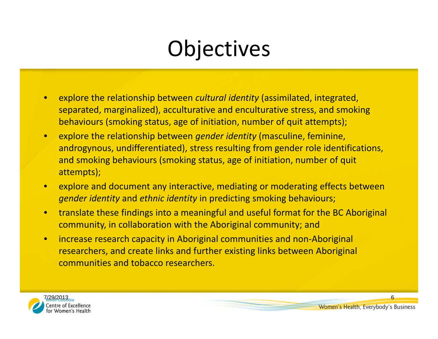# **Objectives**

- • explore the relationship between *cultural identity* (assimilated, integrated, separated, marginalized), acculturative and enculturative stress, and smoking behaviours (smoking status, age of initiation, number of quit attempts);
- • explore the relationship between *gender identity* (masculine, feminine, androgynous, undifferentiated), stress resulting from gender role identifications, and smoking behaviours (smoking status, age of initiation, number of quit attempts);
- • explore and document any interactive, mediating or moderating effects between *gender identity* and *ethnic identity* in predicting smoking behaviours;
- • translate these findings into <sup>a</sup> meaningful and useful format for the BC Aboriginal community, in collaboration with the Aboriginal community; and
- • increase research capacity in Aboriginal communities and non‐Aboriginal researchers, and create links and further existing links between Aboriginal communities and tobacco researchers.

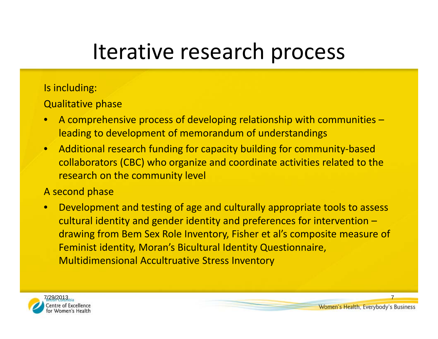# Iterative research process

#### Is including:

Qualitative phase

- • A comprehensive process of developing relationship with communities – leading to development of memorandum of understandings
- •● Additional research funding for capacity building for community-based collaborators (CBC) who organize and coordinate activities related to the research on the community level

#### A second phase

 $\bullet$  Development and testing of age and culturally appropriate tools to assess cultural identity and gender identity and preferences for intervention – drawing from Bem Sex Role Inventory, Fisher et al's composite measure of Feminist identity, Moran's Bicultural Identity Questionnaire, Multidimensional Accultruative Stress Inventory

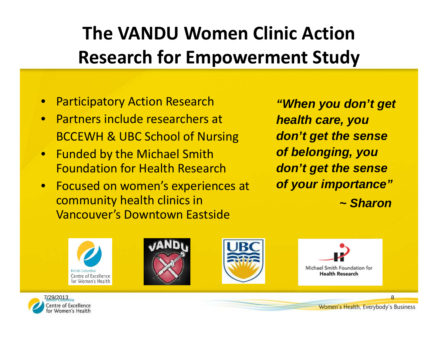# **The VANDU Women Clinic Action Research for Empowerment Study**

- $\bullet$ **Participatory Action Research**
- Partners include researchers at BCCEWH & UBC School of Nursing
- $\bullet$  Funded by the Michael Smith Foundation for Health Research
- $\bullet$  Focused on women's experiences at community health clinics in Vancouver's Downtown Eastside

*"When you don't get health care, you don't get the sense of belonging, you don't get the sense of your importance" ~ Sharon*









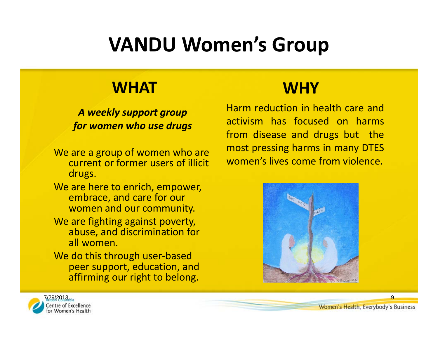# **VANDU Women's Group**

### **WHAT**

*A weekly support group for women who use drugs*

- We are <sup>a</sup> group of women who are current or former users of illicit drugs.
- We are here to enrich, empower, embrace, and care for our women and our community.
- We are fighting against poverty, abuse, and discrimination for all women.
- We do this through user‐based peer support, education, and affirming our right to belong.

### **WHY**

Harm reduction in health care andactivism has focused on harmsfrom disease and drugs but the most pressing harms in many DTES women's lives come from violence.



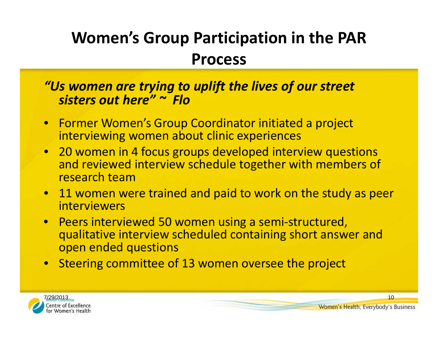## **Women's Group Participation in the PAR Process**

#### *"Us women are trying to uplift the lives of our street sisters out here" <sup>~</sup> Flo*

- Former Women's Group Coordinator initiated <sup>a</sup> project interviewing women about clinic experiences
- 20 women in 4 focus groups developed interview questions and reviewed interview schedule together with members of research team
- 11 women were trained and paid to work on the study as peer interviewers
- Peers interviewed 50 women using <sup>a</sup> semi‐structured, qualitative interview scheduled containing short answer and open ended questions
- Steering committee of 13 women oversee the project

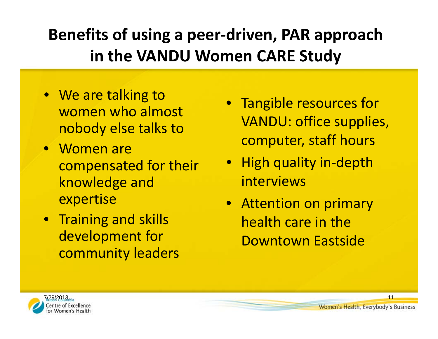## **Benefits of using <sup>a</sup> peer‐driven, PAR approach in the VANDU Women CARE Study**

- We are talking to women who almost nobody else talks to
- Women are compensated for their knowledge and expertise
- Training and skills development for community leaders
- Tangible resources for VANDU: office supplies, computer, staff hours
- High quality in‐depth interviews
- Attention on primary health care in the Downtown Eastside

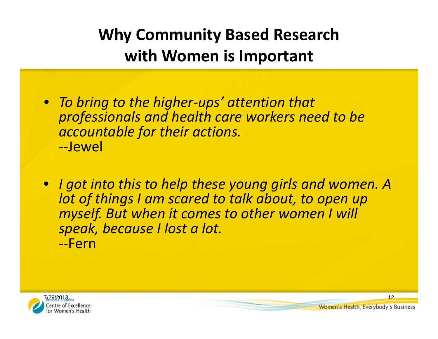## **Why Community Based Research with Women is Important**

- *To bring to the higher‐ups' attention that professionals and health care workers need to be accountable for their actions.* ‐‐Jewel
- *I got into this to help these young girls and women. A lot of things I am scared to talk about, to open up myself. But when it comes to other women I will speak, because I lost <sup>a</sup> lot.* ‐‐Fern

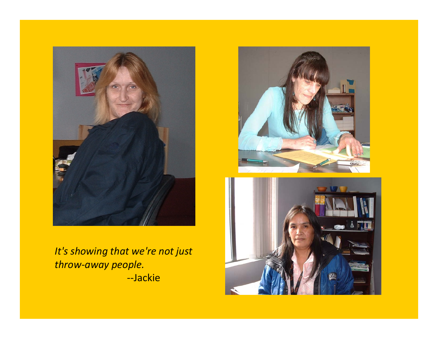

*It's showing that we're not just throw‐away people.* ‐‐Jackie